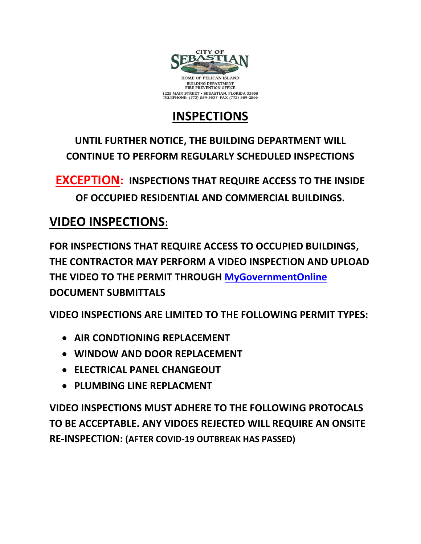

## **INSPECTIONS**

**UNTIL FURTHER NOTICE, THE BUILDING DEPARTMENT WILL CONTINUE TO PERFORM REGULARLY SCHEDULED INSPECTIONS** 

**EXCEPTION: INSPECTIONS THAT REQUIRE ACCESS TO THE INSIDE OF OCCUPIED RESIDENTIAL AND COMMERCIAL BUILDINGS.**

## **VIDEO INSPECTIONS:**

**FOR INSPECTIONS THAT REQUIRE ACCESS TO OCCUPIED BUILDINGS, THE CONTRACTOR MAY PERFORM A VIDEO INSPECTION AND UPLOAD THE VIDEO TO THE PERMIT THROUGH [MyGovernmentOnline](https://www.mygovernmentonline.org/) DOCUMENT SUBMITTALS**

**VIDEO INSPECTIONS ARE LIMITED TO THE FOLLOWING PERMIT TYPES:**

- **AIR CONDTIONING REPLACEMENT**
- **WINDOW AND DOOR REPLACEMENT**
- **ELECTRICAL PANEL CHANGEOUT**
- **PLUMBING LINE REPLACMENT**

**VIDEO INSPECTIONS MUST ADHERE TO THE FOLLOWING PROTOCALS TO BE ACCEPTABLE. ANY VIDOES REJECTED WILL REQUIRE AN ONSITE RE-INSPECTION: (AFTER COVID-19 OUTBREAK HAS PASSED)**